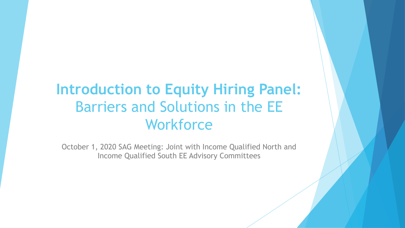# **Introduction to Equity Hiring Panel:**  Barriers and Solutions in the EE **Workforce**

October 1, 2020 SAG Meeting: Joint with Income Qualified North and Income Qualified South EE Advisory Committees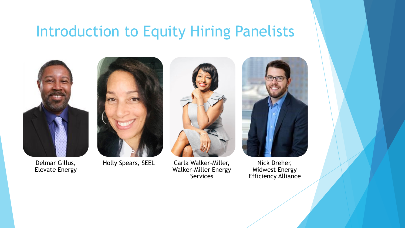### Introduction to Equity Hiring Panelists



Delmar Gillus, Elevate Energy



Holly Spears, SEEL Carla Walker-Miller, Walker-Miller Energy **Services** 



Nick Dreher, Midwest Energy Efficiency Alliance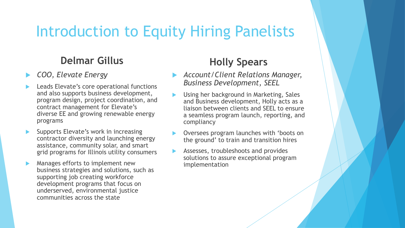# Introduction to Equity Hiring Panelists

### **Delmar Gillus**

- *COO, Elevate Energy*
- Leads Elevate's core operational functions and also supports business development, program design, project coordination, and contract management for Elevate's diverse EE and growing renewable energy programs
- Supports Elevate's work in increasing contractor diversity and launching energy assistance, community solar, and smart grid programs for Illinois utility consumers
- Manages efforts to implement new business strategies and solutions, such as supporting job creating workforce development programs that focus on underserved, environmental justice communities across the state

### **Holly Spears**

- *Account/Client Relations Manager, Business Development, SEEL*
- Using her background in Marketing, Sales and Business development, Holly acts as a liaison between clients and SEEL to ensure a seamless program launch, reporting, and compliancy
- Oversees program launches with 'boots on the ground' to train and transition hires
- Assesses, troubleshoots and provides solutions to assure exceptional program implementation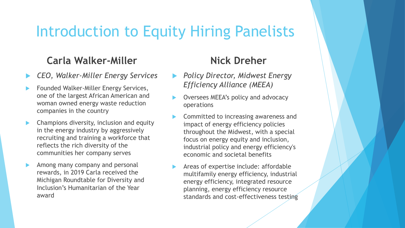# Introduction to Equity Hiring Panelists

### **Carla Walker-Miller**

- *CEO, Walker-Miller Energy Services*
- Founded Walker-Miller Energy Services, one of the largest African American and woman owned energy waste reduction companies in the country
- Champions diversity, inclusion and equity in the energy industry by aggressively recruiting and training a workforce that reflects the rich diversity of the communities her company serves
- Among many company and personal rewards, in 2019 Carla received the Michigan Roundtable for Diversity and Inclusion's Humanitarian of the Year award

### **Nick Dreher**

- *Policy Director, Midwest Energy Efficiency Alliance (MEEA)*
- Oversees MEEA's policy and advocacy operations
- Committed to increasing awareness and impact of energy efficiency policies throughout the Midwest, with a special focus on energy equity and inclusion, industrial policy and energy efficiency's economic and societal benefits
- Areas of expertise include: affordable multifamily energy efficiency, industrial energy efficiency, integrated resource planning, energy efficiency resource standards and cost-effectiveness testing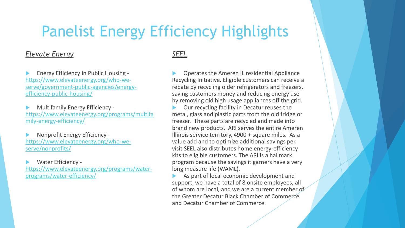# Panelist Energy Efficiency Highlights

#### *Elevate Energy*

 Energy Efficiency in Public Housing https://www.elevateenergy.org/who-we[serve/government-public-agencies/energy](https://www.elevateenergy.org/who-we-serve/government-public-agencies/energy-efficiency-public-housing/)efficiency-public-housing/

 Multifamily Energy Efficiency [https://www.elevateenergy.org/programs/multifa](https://www.elevateenergy.org/programs/multifamily-energy-efficiency/) mily-energy-efficiency/

 Nonprofit Energy Efficiency [https://www.elevateenergy.org/who-we](https://www.elevateenergy.org/who-we-serve/nonprofits/)serve/nonprofits/

Water Efficiency -

[https://www.elevateenergy.org/programs/water](https://www.elevateenergy.org/programs/water-programs/water-efficiency/)programs/water-efficiency/

*SEEL*

 Operates the Ameren IL residential Appliance Recycling Initiative. Eligible customers can receive a rebate by recycling older refrigerators and freezers, saving customers money and reducing energy use by removing old high usage appliances off the grid.

 Our recycling facility in Decatur reuses the metal, glass and plastic parts from the old fridge or freezer. These parts are recycled and made into brand new products. ARI serves the entire Ameren Illinois service territory, 4900 + square miles. As a value add and to optimize additional savings per visit SEEL also distributes home energy-efficiency kits to eligible customers. The ARI is a hallmark program because the savings it garners have a very long measure life (WAML).

 As part of local economic development and support, we have a total of 8 onsite employees, all of whom are local, and we are a current member of the Greater Decatur Black Chamber of Commerce and Decatur Chamber of Commerce.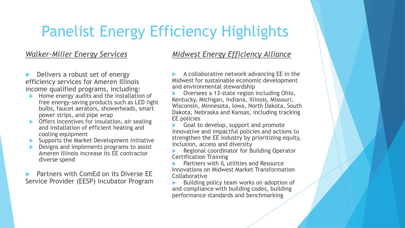# Panelist Energy Efficiency Highlights

#### *Walker-Miller Energy Services*

 Delivers a robust set of energy efficiency services for Ameren Illinois income qualified programs, including:

- Home energy audits and the installation of free energy-saving products such as LED light bulbs, faucet aerators, showerheads, smart power strips, and pipe wrap
- Offers incentives for insulation, air sealing and installation of efficient heating and cooling equipment
- Supports the Market Development Initiative
- Designs and implements programs to assist Ameren Illinois increase its EE contractor diverse spend

 Partners with ComEd on its Diverse EE Service Provider (EESP) Incubator Program

#### *Midwest Energy Efficiency Alliance*

 A collaborative network advancing EE in the Midwest for sustainable economic development and environmental stewardship

 Oversees a 13-state region including Ohio, Kentucky, Michigan, Indiana, Illinois, Missouri, Wisconsin, Minnesota, Iowa, North Dakota, South Dakota, Nebraska and Kansas, including tracking EE policies

 Goal to develop, support and promote innovative and impactful policies and actions to strengthen the EE industry by prioritizing equity, inclusion, access and diversity

 Regional coordinator for Building Operator Certification Training

 Partners with IL utilities and Resource Innovations on Midwest Market Transformation Collaborative

 Building policy team works on adoption of and compliance with building codes, building performance standards and benchmarking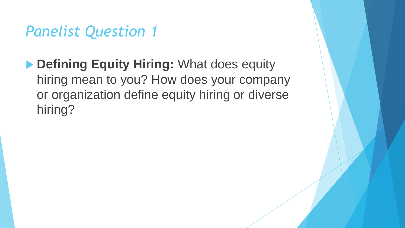**Defining Equity Hiring: What does equity** hiring mean to you? How does your company or organization define equity hiring or diverse hiring?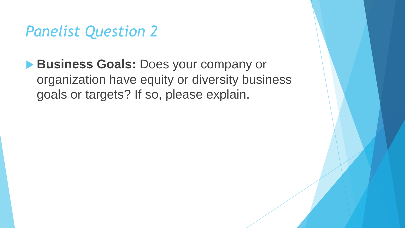**Business Goals: Does your company or** organization have equity or diversity business goals or targets? If so, please explain.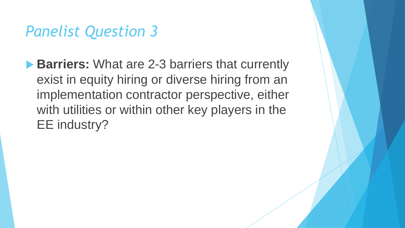**Barriers:** What are 2-3 barriers that currently exist in equity hiring or diverse hiring from an implementation contractor perspective, either with utilities or within other key players in the EE industry?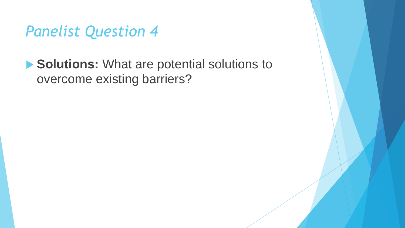**Solutions:** What are potential solutions to overcome existing barriers?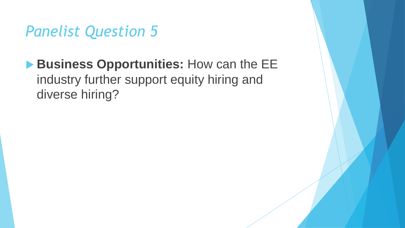### **Business Opportunities:** How can the EE industry further support equity hiring and diverse hiring?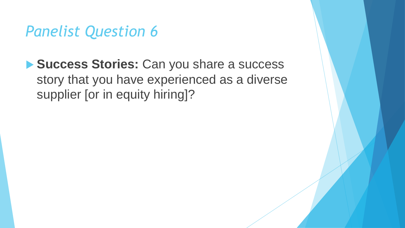**Success Stories:** Can you share a success story that you have experienced as a diverse supplier [or in equity hiring]?